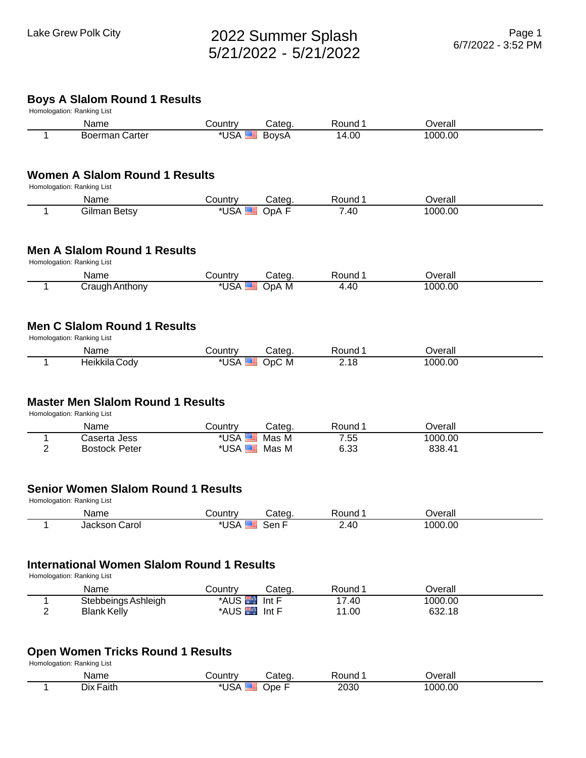## Lake Grew Polk City 2022 Summer Splash 5/21/2022 - 5/21/2022

### **Boys A Slalom Round 1 Results**

|                     | vyə A Oluloni i<br>Homologation: Ranking List                                   |                                  |        |                |                   |  |
|---------------------|---------------------------------------------------------------------------------|----------------------------------|--------|----------------|-------------------|--|
|                     | Name                                                                            | Country                          | Categ. | Round 1        | Overall           |  |
| 1                   | <b>Boerman Carter</b>                                                           | *USA                             | BoysA  | 14.00          | 1000.00           |  |
|                     | <b>Women A Slalom Round 1 Results</b>                                           |                                  |        |                |                   |  |
|                     | Homologation: Ranking List                                                      |                                  |        |                |                   |  |
|                     | Name                                                                            | Country                          | Categ. | Round 1        | Overall           |  |
| 1                   | <b>Gilman Betsy</b>                                                             | *USA                             | OpA F  | 7.40           | 1000.00           |  |
|                     | <b>Men A Slalom Round 1 Results</b><br>Homologation: Ranking List               |                                  |        |                |                   |  |
|                     | Name                                                                            | Country                          | Categ. | Round 1        | Overall           |  |
| 1                   | Craugh Anthony                                                                  | *USA                             | OpA M  | 4.40           | 1000.00           |  |
|                     | <b>Men C Slalom Round 1 Results</b><br>Homologation: Ranking List               |                                  |        |                |                   |  |
|                     | Name                                                                            | Country                          | Categ. | Round 1        | Overall           |  |
| 1                   | Heikkila Cody                                                                   | *USA <b>EE</b>                   | OpC M  | 2.18           | 1000.00           |  |
|                     | <b>Master Men Slalom Round 1 Results</b><br>Homologation: Ranking List<br>Name  | Country                          | Categ. | Round 1        | Overall           |  |
| 1                   | Caserta Jess                                                                    | *USA                             | Mas M  | 7.55           | 1000.00           |  |
| $\overline{2}$      | <b>Bostock Peter</b>                                                            | *USA <sup>E</sup>                | Mas M  | 6.33           | 838.41            |  |
|                     | <b>Senior Women Slalom Round 1 Results</b><br>Homologation: Ranking List        |                                  |        |                |                   |  |
|                     | Name                                                                            | Country                          | Categ. | Round 1        | Overall           |  |
| 1                   | Jackson Carol                                                                   | *USA                             | Sen F  | 2.40           | 1000.00           |  |
|                     | <b>International Women Slalom Round 1 Results</b><br>Homologation: Ranking List |                                  |        |                |                   |  |
|                     | Name                                                                            | Country                          | Categ. | Round 1        | Overall           |  |
| 1<br>$\overline{2}$ | Stebbeings Ashleigh<br><b>Blank Kelly</b>                                       | <b>*AUS</b><br>*AUS <b>Int F</b> | Int F  | 17.40<br>11.00 | 1000.00<br>632.18 |  |
|                     | <b>Open Women Tricks Round 1 Results</b>                                        |                                  |        |                |                   |  |
|                     | Homologation: Ranking List                                                      |                                  |        |                |                   |  |
|                     | Name                                                                            | Country                          | Categ. | Round 1        | Overall           |  |

1 Dix Faith \*USA Ope F 2030 1000.00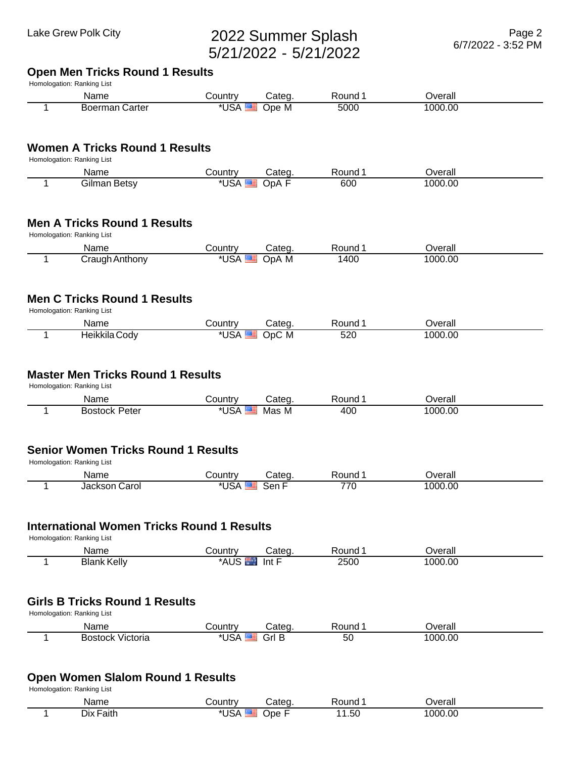# Lake Grew Polk City 2022 Summer Splash 5/21/2022 - 5/21/2022

| <b>Boerman Carter</b><br>1<br><b>Women A Tricks Round 1 Results</b><br>Homologation: Ranking List<br>Name<br><b>Gilman Betsy</b><br>1<br>Name<br>Craugh Anthony<br>1<br>Name<br>Heikkila Cody<br>1<br>Name<br><b>Bostock Peter</b><br>1<br>Name<br>Jackson Carol<br>1                                      | *USA <sup>E</sup><br>Country<br>*USA<br>Country<br>*USA | Categ.<br>Ope M<br>Categ.<br>OpA F<br>Categ.<br>OpA M | 5000<br>Round 1<br>600<br>Round 1 | 1000.00<br>Overall<br>1000.00 |
|------------------------------------------------------------------------------------------------------------------------------------------------------------------------------------------------------------------------------------------------------------------------------------------------------------|---------------------------------------------------------|-------------------------------------------------------|-----------------------------------|-------------------------------|
|                                                                                                                                                                                                                                                                                                            |                                                         |                                                       |                                   |                               |
|                                                                                                                                                                                                                                                                                                            |                                                         |                                                       |                                   |                               |
|                                                                                                                                                                                                                                                                                                            |                                                         |                                                       |                                   |                               |
| <b>Men A Tricks Round 1 Results</b><br>Homologation: Ranking List                                                                                                                                                                                                                                          |                                                         |                                                       |                                   |                               |
|                                                                                                                                                                                                                                                                                                            |                                                         |                                                       |                                   |                               |
|                                                                                                                                                                                                                                                                                                            |                                                         |                                                       |                                   |                               |
| <b>Men C Tricks Round 1 Results</b><br>Homologation: Ranking List<br><b>Master Men Tricks Round 1 Results</b><br>Homologation: Ranking List<br><b>Senior Women Tricks Round 1 Results</b><br>Homologation: Ranking List<br><b>International Women Tricks Round 1 Results</b><br>Homologation: Ranking List |                                                         |                                                       |                                   | Overall                       |
|                                                                                                                                                                                                                                                                                                            |                                                         |                                                       | 1400                              | 1000.00                       |
|                                                                                                                                                                                                                                                                                                            |                                                         |                                                       |                                   |                               |
|                                                                                                                                                                                                                                                                                                            |                                                         |                                                       |                                   |                               |
|                                                                                                                                                                                                                                                                                                            | Country                                                 | Categ.                                                | Round 1                           | Overall                       |
|                                                                                                                                                                                                                                                                                                            | *USA                                                    | OpC M                                                 | 520                               | 1000.00                       |
|                                                                                                                                                                                                                                                                                                            | Country<br>*USA                                         | Categ.<br>Mas M                                       | Round 1<br>400                    | Overall<br>1000.00            |
|                                                                                                                                                                                                                                                                                                            |                                                         |                                                       |                                   |                               |
|                                                                                                                                                                                                                                                                                                            |                                                         |                                                       |                                   |                               |
|                                                                                                                                                                                                                                                                                                            | Country                                                 | Categ.                                                | Round 1                           | Overall                       |
|                                                                                                                                                                                                                                                                                                            | *USA <b>E</b> Sen F                                     |                                                       | 770                               | 1000.00                       |
|                                                                                                                                                                                                                                                                                                            |                                                         |                                                       |                                   |                               |
|                                                                                                                                                                                                                                                                                                            |                                                         |                                                       |                                   |                               |
| Name                                                                                                                                                                                                                                                                                                       | Country                                                 | Categ.                                                | Round 1                           | Overall                       |
| <b>Blank Kelly</b><br>1                                                                                                                                                                                                                                                                                    | <b>AUS</b>                                              | Int F                                                 | 2500                              | 1000.00                       |
|                                                                                                                                                                                                                                                                                                            |                                                         |                                                       |                                   |                               |
| <b>Girls B Tricks Round 1 Results</b><br>Homologation: Ranking List                                                                                                                                                                                                                                        |                                                         |                                                       |                                   |                               |
| Name<br><b>Bostock Victoria</b><br>1                                                                                                                                                                                                                                                                       | Country                                                 | Categ.<br>*USA<br>Grl B                               | Round 1<br>50                     | Overall<br>1000.00            |

### **Open Women Slalom Round 1 Results**

Homologation: Ranking List

| Name         | `ountrv | ateα | ound≀                   | <b>Werall</b><br>all |
|--------------|---------|------|-------------------------|----------------------|
| Dix<br>aith. | ാല      | me   | .50 <sub>1</sub><br>. . | 000.00               |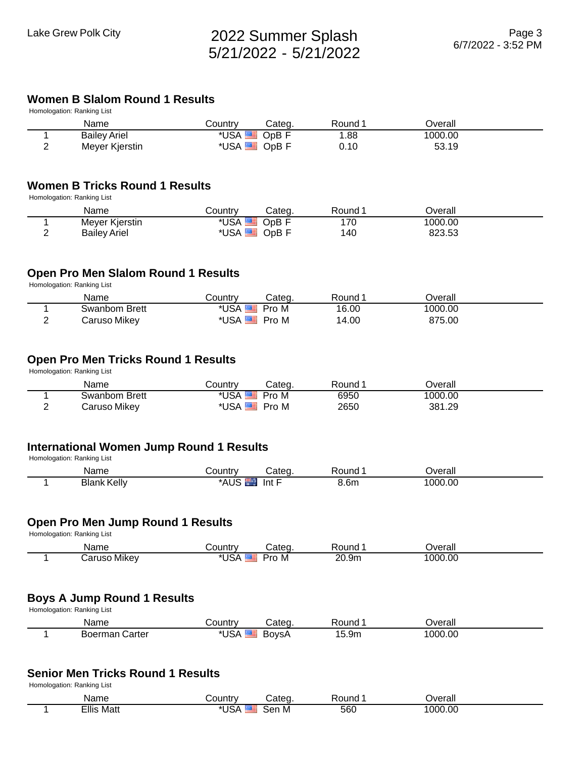#### **Women B Slalom Round 1 Results**

| Name                | تountr∨ | Categ   | ≀ound | )verall |  |
|---------------------|---------|---------|-------|---------|--|
| <b>Bailey Ariel</b> | *USA    | JpB F   | .88   | 1000.00 |  |
| Meyer Kjerstin      | *USA    | $OpB$ F | 0.10  | 53.19   |  |

#### **Women B Tricks Round 1 Results**

Homologation: Ranking List

|   | Name                | تountr∨      | Categ. | Round | ⊃verall          |  |
|---|---------------------|--------------|--------|-------|------------------|--|
|   | Meyer Kjerstin      | ا ا⊂∆<br>.   | JpB .  | 70    | 1000.00          |  |
| - | <b>Bailey Ariel</b> | ا ا≤∆<br>Jur | JpB F  | 40    | タウゴ ビジ<br>າ∠ວ.ວ≎ |  |

#### **Open Pro Men Slalom Round 1 Results**

Homologation: Ranking List

| Name                | Countr∨ | Categ | Round | <b>Dverall</b> |  |
|---------------------|---------|-------|-------|----------------|--|
| Swanbom Brett       | *USA    | Pro M | 16.00 | 1000.00        |  |
| <b>Caruso Mikey</b> | *USA    | Pro M | 14.00 | 875.00         |  |

#### **Open Pro Men Tricks Round 1 Results**

Homologation: Ranking List

|   | Name          | ountr∨ٽ              | Categ. | Round | )verall |  |
|---|---------------|----------------------|--------|-------|---------|--|
|   | Swanbom Brett |                      | Pro M  | 6950  | 1000.00 |  |
| - | Caruso Mikey  | *IJSA $\overline{ }$ | Pro M  | 2650  | 381.29  |  |

### **International Women Jump Round 1 Results**

Homologation: Ranking List

| rvame          | ountr              |                                            | Round        | rara)<br>rall |  |
|----------------|--------------------|--------------------------------------------|--------------|---------------|--|
| Blank<br>…ellv | م ر<br>τл.<br>AUC. | Int<br>the contract of the contract of the | 1.6n.<br>___ | .00<br>ഥറ     |  |

#### **Open Pro Men Jump Round 1 Results**

Homologation: Ranking List

| Name                   | `∩untrv                  | ateα     | Round | Jverall |
|------------------------|--------------------------|----------|-------|---------|
| Mikev<br>tarusc<br>ust | $\cdots$<br>או דא<br>JSP | میں<br>M | 20.9m | 1000.00 |

### **Boys A Jump Round 1 Results**

Homologation: Ranking List

| Name              | ountryٽ | Cateq | Round                    | Overall |  |
|-------------------|---------|-------|--------------------------|---------|--|
| Carter<br>Boerman | *USA    | BovsA | 1 F<br>15.9 <sub>m</sub> | 1000.00 |  |

#### **Senior Men Tricks Round 1 Results**

Homologation: Ranking List

| Name           | ∠ountr                  |           | ound≀        | <b>Terall</b> |  |
|----------------|-------------------------|-----------|--------------|---------------|--|
| Ellis<br>์ Mat | $\sim$ 10 $\sim$<br>- - | Sen<br>-M | - ^ ^<br>56C | 1000.00       |  |